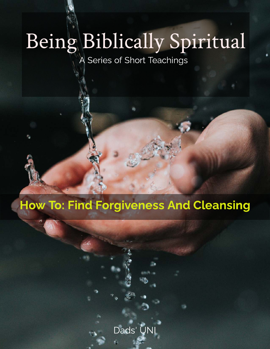# Being Biblically Spiritual

A Series of Short Teachings

# How To: Find Forgiveness And Cleansing

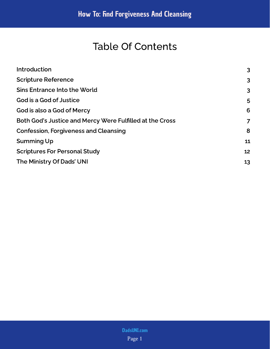# Table Of Contents

| Introduction                                             | 3              |
|----------------------------------------------------------|----------------|
| <b>Scripture Reference</b>                               | $\overline{3}$ |
| Sins Entrance Into the World                             | $\overline{3}$ |
| God is a God of Justice                                  | 5              |
| God is also a God of Mercy                               | 6              |
| Both God's Justice and Mercy Were Fulfilled at the Cross | 7              |
| <b>Confession, Forgiveness and Cleansing</b>             | 8              |
| Summing Up                                               | 11             |
| <b>Scriptures For Personal Study</b>                     | 12             |
| The Ministry Of Dads' UNI                                | 13             |
|                                                          |                |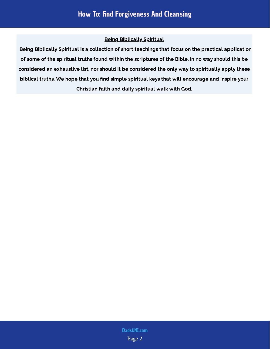#### Being Biblically Spiritual

 Being Biblically Spiritual is a collection of short teachings that focus on the practical application of some of the spiritual truths found within the scriptures of the Bible. In no way should this be considered an exhaustive list, nor should it be considered the only way to spiritually apply these biblical truths. We hope that you find simple spiritual keys that will encourage and inspire your Christian faith and daily spiritual walk with God.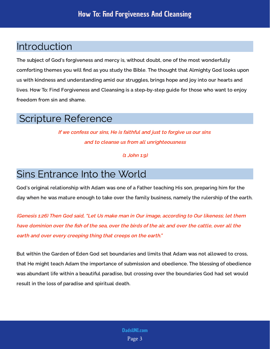# <span id="page-3-0"></span>Introduction

The subject of God's forgiveness and mercy is, without doubt, one of the most wonderfully comforting themes you will find as you study the Bible. The thought that Almighty God looks upon us with kindness and understanding amid our struggles, brings hope and joy into our hearts and lives. How To: Find Forgiveness and Cleansing is a step-by-step guide for those who want to enjoy freedom from sin and shame.

## <span id="page-3-1"></span>Scripture Reference

If we confess our sins, He is faithful and just to forgive us our sins and to cleanse us from all unrighteousness

(1 John 1:9)

# <span id="page-3-2"></span>Sins Entrance Into the World

God's original relationship with Adam was one of a Father teaching His son, preparing him for the day when he was mature enough to take over the family business, namely the rulership of the earth.

(Genesis 1:26) Then God said, "Let Us make man in Our image, according to Our likeness; let them have dominion over the fish of the sea, over the birds of the air, and over the cattle, over all the earth and over every creeping thing that creeps on the earth."

But within the Garden of Eden God set boundaries and limits that Adam was not allowed to cross, that He might teach Adam the importance of submission and obedience. The blessing of obedience was abundant life within a beautiful paradise, but crossing over the boundaries God had set would result in the loss of paradise and spiritual death.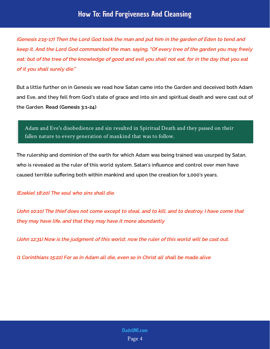(Genesis 2:15-17) Then the Lord God took the man and put him in the garden of Eden to tend and keep it. And the Lord God commanded the man, saying, "Of every tree of the garden you may freely eat; but of the tree of the knowledge of good and evil you shall not eat, for in the day that you eat of it you shall surely die."

But a little further on in Genesis we read how Satan came into the Garden and deceived both Adam and Eve, and they fell from God's state of grace and into sin and spiritual death and were cast out of the Garden. Read (Genesis 3:1-24)

#### Adam and Eve's disobedience and sin resulted in Spiritual Death and they passed on their fallen nature to every generation of mankind that was to follow.

The rulership and dominion of the earth for which Adam was being trained was usurped by Satan, who is revealed as the ruler of this world system. Satan's influence and control over men have caused terrible suffering both within mankind and upon the creation for 1,000's years.

#### (Ezekiel 18:20) The soul who sins shall die.

(John 10:10) The thief does not come except to steal, and to kill, and to destroy. I have come that they may have life, and that they may have it more abundantly

(John 12:31) Now is the judgment of this world; now the ruler of this world will be cast out.

(1 Corinthians 15:22) For as in Adam all die, even so in Christ all shall be made alive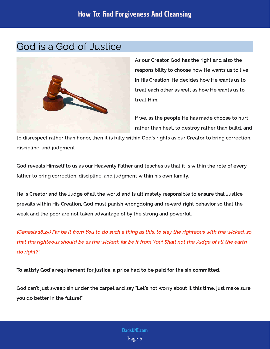## <span id="page-5-0"></span>God is a God of Justice



As our Creator, God has the right and also the responsibility to choose how He wants us to live in His Creation. He decides how He wants us to treat each other as well as how He wants us to treat Him.

If we, as the people He has made choose to hurt rather than heal, to destroy rather than build, and

to disrespect rather than honor, then it is fully within God's rights as our Creator to bring correction, discipline, and judgment.

God reveals Himself to us as our Heavenly Father and teaches us that it is within the role of every father to bring correction, discipline, and judgment within his own family.

He is Creator and the Judge of all the world and is ultimately responsible to ensure that Justice prevails within His Creation. God must punish wrongdoing and reward right behavior so that the weak and the poor are not taken advantage of by the strong and powerful.

(Genesis 18:25) Far be it from You to do such a thing as this, to slay the righteous with the wicked, so that the righteous should be as the wicked; far be it from You! Shall not the Judge of all the earth do right?"

To satisfy God's requirement for justice, a price had to be paid for the sin committed.

God can't just sweep sin under the carpet and say "Let's not worry about it this time, just make sure you do better in the future!"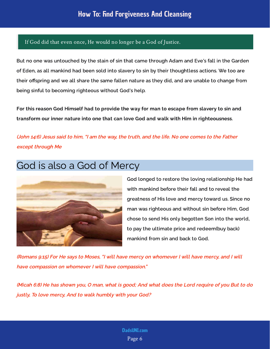#### If God did that even once, He would no longer be a God of Justice.

But no one was untouched by the stain of sin that came through Adam and Eve's fall in the Garden of Eden, as all mankind had been sold into slavery to sin by their thoughtless actions. We too are their offspring and we all share the same fallen nature as they did, and are unable to change from being sinful to becoming righteous without God's help.

For this reason God Himself had to provide the way for man to escape from slavery to sin and transform our inner nature into one that can love God and walk with Him in righteousness.

(John 14:6) Jesus said to him, "I am the way, the truth, and the life. No one comes to the Father except through Me

# <span id="page-6-0"></span>God is also a God of Mercy



God longed to restore the loving relationship He had with mankind before their fall and to reveal the greatness of His love and mercy toward us. Since no man was righteous and without sin before Him, God chose to send His only begotten Son into the world, to pay the ultimate price and redeem(buy back) mankind from sin and back to God.

(Romans 9:15) For He says to Moses, "I will have mercy on whomever I will have mercy, and I will have compassion on whomever I will have compassion."

(Micah 6:8) He has shown you, O man, what is good; And what does the Lord require of you But to do justly, To love mercy, And to walk humbly with your God?

#### Page 6 [DadsUNI.com](https://www.dadsuni.com/)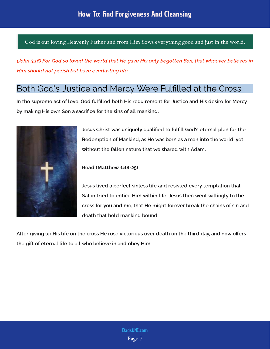God is our loving Heavenly Father and from Him flows everything good and just in the world.

(John 3:16) For God so loved the world that He gave His only begotten Son, that whoever believes in Him should not perish but have everlasting life

## <span id="page-7-0"></span>Both God's Justice and Mercy Were Fulfilled at the Cross

In the supreme act of love, God fulfilled both His requirement for Justice and His desire for Mercy by making His own Son a sacrifice for the sins of all mankind.



Jesus Christ was uniquely qualified to fulfill God's eternal plan for the Redemption of Mankind, as He was born as a man into the world, yet

Read (Matthew 1:18-25)

Jesus lived a perfect sinless life and resisted every temptation that Satan tried to entice Him within life. Jesus then went willingly to the cross for you and me, that He might forever break the chains of sin and death that held mankind bound.

After giving up His life on the cross He rose victorious over death on the third day, and now offers the gift of eternal life to all who believe in and obey Him.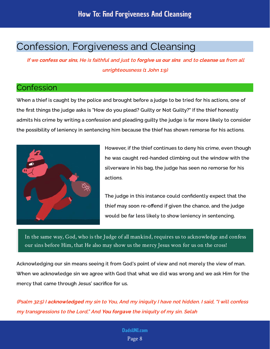## <span id="page-8-0"></span>Confession, Forgiveness and Cleansing

If we confess our sins, He is faithful and just to forgive us our sins and to cleanse us from all unrighteousness (1 John 1:9)

## **Confession**

When a thief is caught by the police and brought before a judge to be tried for his actions, one of the first things the judge asks is "How do you plead? Guilty or Not Guilty?" If the thief honestly admits his crime by writing a confession and pleading guilty the judge is far more likely to consider the possibility of leniency in sentencing him because the thief has shown remorse for his actions.



However, if the thief continues to deny his crime, even though he was caught red-handed climbing out the window with the silverware in his bag, the judge has seen no remorse for his actions.

The judge in this instance could confidently expect that the thief may soon re-offend if given the chance, and the judge would be far less likely to show leniency in sentencing.

In the same way, God, who is the Judge of all mankind, requires us to acknowledge and confess our sins before Him, that He also may show us the mercy Jesus won for us on the cross!

Acknowledging our sin means seeing it from God's point of view and not merely the view of man. When we acknowledge sin we agree with God that what we did was wrong and we ask Him for the mercy that came through Jesus' sacrifice for us.

(Psalm 32:5) I a**cknowledged** my sin to You, And my iniquity I have not hidden. I said, "I will confess my transgressions to the Lord," And **You forgave** the iniquity of my sin. Selah

#### Page 8 [DadsUNI.com](https://www.dadsuni.com/)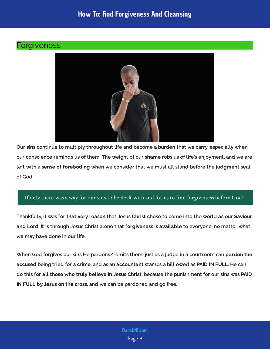## How To: Find Forgiveness And Cleansing

### **Forgiveness**



Our sins continue to multiply throughout life and become a burden that we carry, especially when our conscience reminds us of them. The weight of our shame robs us of life's enjoyment, and we are left with a s<mark>ense of foreboding</mark> when we consider that we must all stand before the j**udgment** seat of God.

#### If only there was a way for our sins to be dealt with and for us to find forgiveness before God!

Thankfully, it was f<mark>or that very reason</mark> that Jesus Christ chose to come into the world as <mark>our Saviour</mark> and Lord. It is through Jesus Christ alone that forgiveness is available to evervone, no matter what we may have done in our life.

When God forgives our sins He pardons/remits them, just as a judge in a courtroom can pardon the a<mark>ccused</mark> being tried for a **crime**, and as an a**ccountant** stamps a bill owed as **PAID IN FULL**. He can do this for all those who truly believe in Jesus Christ, because the punishment for our sins was PAID IN FULL by Jesus on the cross, and we can be pardoned and go free.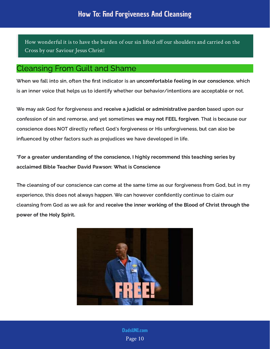How wonderful it is to have the burden of our sin lifted off our shoulders and carried on the Cross by our Saviour Jesus Christ!

## Cleansing From Guilt and Shame

When we fall into sin, often the first indicator is an uncomfortable feeling in our conscience, which is an inner voice that helps us to identify whether our behavior/intentions are acceptable or not.

We may ask God for forgiveness and receive a judicial or administrative pardon based upon our confession of sin and remorse, and vet sometimes w<mark>e may not FEEL forgiven</mark>. That is because our conscience does NOT directly reflect God's forgiveness or His unforgiveness, but can also be influenced by other factors such as prejudices we have developed in life.

\*For a greater understanding of the conscience, I highly recommend this teaching series by acclaimed Bible Teacher David Pawson: What is Conscience

The cleansing of our conscience can come at the same time as our forgiveness from God, but in my experience, this does not always happen. We can however confidently continue to claim our cleansing from God as we ask for and receive the inner working of the Blood of Christ through the power of the Holy Spirit.



Page 10 [DadsUNI.com](https://www.dadsuni.com/)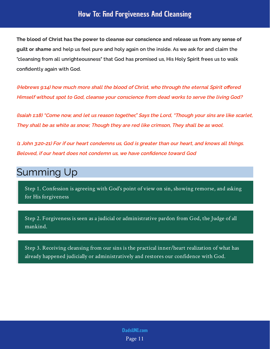## How To: Find Forgiveness And Cleansing

quilt or shame and help us feel pure and holy again on the inside. As we ask for and claim the "cleansing from all unrighteousness" that God has promised us, His Holy Spirit frees us to walk confidently again with God. The blood of Christ has the power to cleanse our conscience and release us from any sense of

(Hebrews 9:14) how much more shall the blood of Christ, who through the eternal Spirit offered Himself without spot to God, cleanse your conscience from dead works to serve the living God?

(Isaiah 1:18) "Come now, and let us reason together," Says the Lord, "Though your sins are like scarlet, They shall be as white as snow; Though they are red like crimson, They shall be as wool.

(1 John 3:20-21) For if our heart condemns us, God is greater than our heart, and knows all things. Beloved, if our heart does not condemn us, we have confidence toward God

## <span id="page-11-0"></span>Summing Up

Step 1. Confession is agreeing with God's point of view on sin, showing remorse, and asking for His forgiveness

Step 2. Forgiveness is seen as a judicial or administrative pardon from God, the Judge of all mankind.

Step 3. Receiving cleansing from our sins is the practical inner/heart realization of what has already happened judicially or administratively and restores our confidence with God.

> Page 11 [DadsUNI.com](https://www.dadsuni.com/)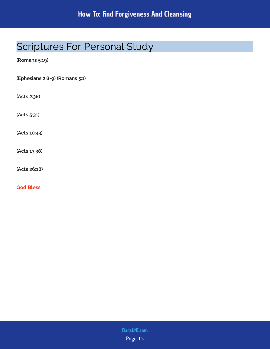# <span id="page-12-0"></span>Scriptures For Personal Study

(Romans 5:19)

(Ephesians 2:8-9) (Romans 5:1)

(Acts 2:38)

(Acts 5:31)

(Acts 10:43)

(Acts 13:38)

(Acts 26:18)

God Bless

Page 12 [DadsUNI.com](https://www.dadsuni.com/)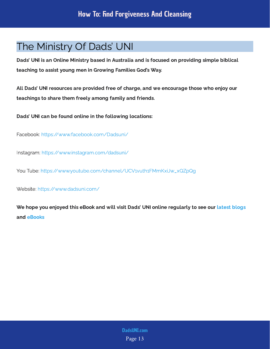## <span id="page-13-0"></span>The Ministry Of Dads' UNI

Dads' UNI is an Online Ministry based in Australia and is focused on providing simple biblical teaching to assist young men in Growing Families God's Way.

All Dads' UNI resources are provided free of charge, and we encourage those who enjoy our teachings to share them freely among family and friends.

Dads' UNI can be found online in the following locations:

Facebook: <https://www.facebook.com/Dadsuni/>

Instagram:<https://www.instagram.com/dadsuni/>

You Tube: [https://www.youtube.com/channel/UCV1vuth1FMmKxiJw\\_xQZpQg](https://www.youtube.com/channel/UCV1vuth1FMmKxiJw_xQZpQg)

Website: <https://www.dadsuni.com/>

We hope you enjoyed this eBook and will visit Dads' UNI online regularly to see our  [latest blogs](https://www.dadsuni.com/parenting-blog) and [eBooks](https://www.dadsuni.com/ebook-library)

> Page 13 [DadsUNI.com](https://www.dadsuni.com/)